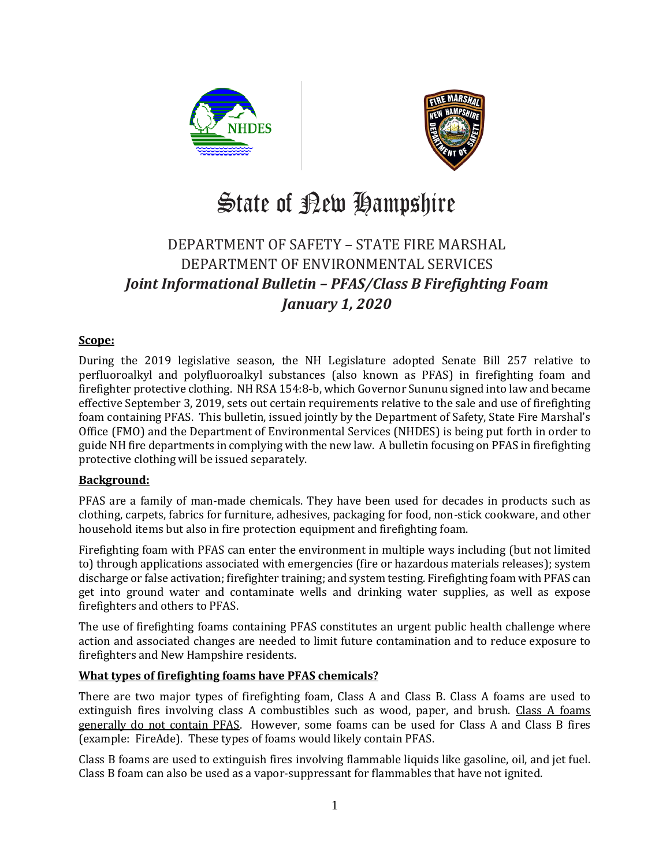



# State of Bew Hampshire

### DEPARTMENT OF SAFETY – STATE FIRE MARSHAL DEPARTMENT OF ENVIRONMENTAL SERVICES *Joint Informational Bulletin – PFAS/Class B Firefighting Foam January 1, 2020*

#### **Scope:**

During the 2019 legislative season, the NH Legislature adopted Senate Bill 257 relative to perfluoroalkyl and polyfluoroalkyl substances (also known as PFAS) in firefighting foam and firefighter protective clothing. NH RSA 154:8-b, which Governor Sununu signed into law and became effective September 3, 2019, sets out certain requirements relative to the sale and use of firefighting foam containing PFAS. This bulletin, issued jointly by the Department of Safety, State Fire Marshal's Office (FMO) and the Department of Environmental Services (NHDES) is being put forth in order to guide NH fire departments in complying with the new law. A bulletin focusing on PFAS in firefighting protective clothing will be issued separately.

#### **Background:**

PFAS are a family of man-made chemicals. They have been used for decades in products such as clothing, carpets, fabrics for furniture, adhesives, packaging for food, non-stick cookware, and other household items but also in fire protection equipment and firefighting foam.

Firefighting foam with PFAS can enter the environment in multiple ways including (but not limited to) through applications associated with emergencies (fire or hazardous materials releases); system discharge or false activation; firefighter training; and system testing. Firefighting foam with PFAS can get into ground water and contaminate wells and drinking water supplies, as well as expose firefighters and others to PFAS.

The use of firefighting foams containing PFAS constitutes an urgent public health challenge where action and associated changes are needed to limit future contamination and to reduce exposure to firefighters and New Hampshire residents.

#### **What types of firefighting foams have PFAS chemicals?**

There are two major types of firefighting foam, Class A and Class B. Class A foams are used to extinguish fires involving class A combustibles such as wood, paper, and brush. Class A foams generally do not contain PFAS. However, some foams can be used for Class A and Class B fires (example: FireAde). These types of foams would likely contain PFAS.

Class B foams are used to extinguish fires involving flammable liquids like gasoline, oil, and jet fuel. Class B foam can also be used as a vapor-suppressant for flammables that have not ignited.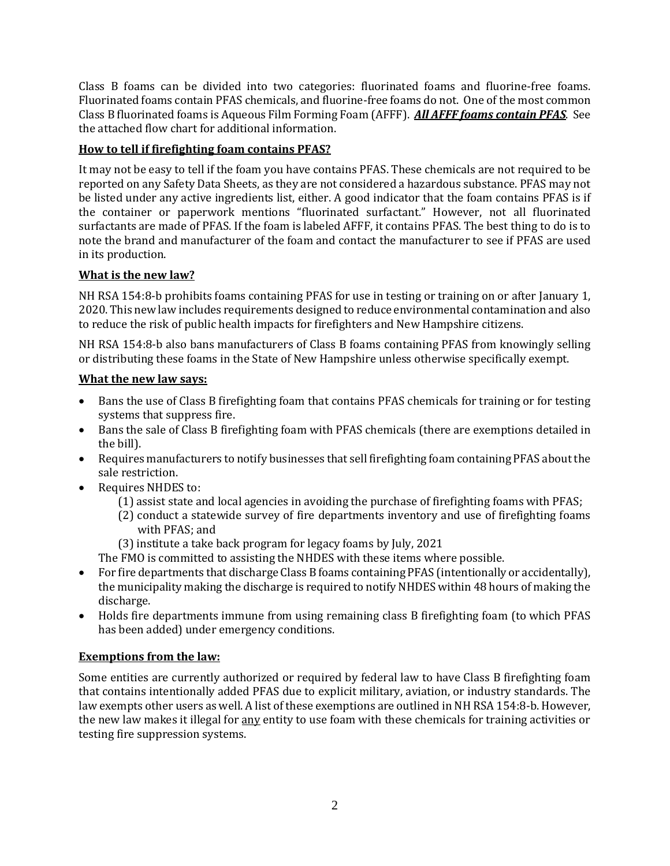Class B foams can be divided into two categories: fluorinated foams and fluorine-free foams. Fluorinated foams contain PFAS chemicals, and fluorine-free foams do not. One of the most common Class B fluorinated foams is Aqueous Film Forming Foam (AFFF). *All AFFF foams contain PFAS*. See the attached flow chart for additional information.

#### **How to tell if firefighting foam contains PFAS?**

It may not be easy to tell if the foam you have contains PFAS. These chemicals are not required to be reported on any Safety Data Sheets, as they are not considered a hazardous substance. PFAS may not be listed under any active ingredients list, either. A good indicator that the foam contains PFAS is if the container or paperwork mentions "fluorinated surfactant." However, not all fluorinated surfactants are made of PFAS. If the foam is labeled AFFF, it contains PFAS. The best thing to do is to note the brand and manufacturer of the foam and contact the manufacturer to see if PFAS are used in its production.

#### **What is the new law?**

NH RSA 154:8-b prohibits foams containing PFAS for use in testing or training on or after January 1, 2020. This new law includes requirements designed to reduce environmental contamination and also to reduce the risk of public health impacts for firefighters and New Hampshire citizens.

NH RSA 154:8-b also bans manufacturers of Class B foams containing PFAS from knowingly selling or distributing these foams in the State of New Hampshire unless otherwise specifically exempt.

#### **What the new law says:**

- Bans the use of Class B firefighting foam that contains PFAS chemicals for training or for testing systems that suppress fire.
- Bans the sale of Class B firefighting foam with PFAS chemicals (there are exemptions detailed in the bill).
- Requires manufacturers to notify businesses that sell firefighting foam containing PFAS about the sale restriction.
- Requires NHDES to:
	- (1) assist state and local agencies in avoiding the purchase of firefighting foams with PFAS;
	- (2) conduct a statewide survey of fire departments inventory and use of firefighting foams with PFAS; and
	- (3) institute a take back program for legacy foams by July, 2021
	- The FMO is committed to assisting the NHDES with these items where possible.
- For fire departments that discharge Class B foams containing PFAS (intentionally or accidentally), the municipality making the discharge is required to notify NHDES within 48 hours of making the discharge.
- Holds fire departments immune from using remaining class B firefighting foam (to which PFAS has been added) under emergency conditions.

#### **Exemptions from the law:**

Some entities are currently authorized or required by federal law to have Class B firefighting foam that contains intentionally added PFAS due to explicit military, aviation, or industry standards. The law exempts other users as well. A list of these exemptions are outlined in NH RSA 154:8-b. However, the new law makes it illegal for any entity to use foam with these chemicals for training activities or testing fire suppression systems.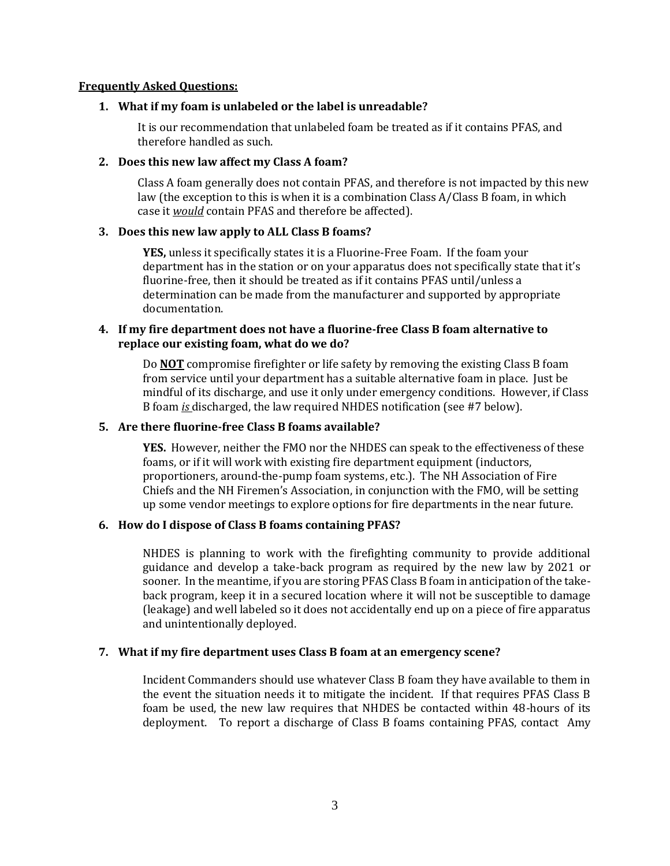#### **Frequently Asked Questions:**

#### **1. What if my foam is unlabeled or the label is unreadable?**

It is our recommendation that unlabeled foam be treated as if it contains PFAS, and therefore handled as such.

#### **2. Does this new law affect my Class A foam?**

Class A foam generally does not contain PFAS, and therefore is not impacted by this new law (the exception to this is when it is a combination Class A/Class B foam, in which case it *would* contain PFAS and therefore be affected).

#### **3. Does this new law apply to ALL Class B foams?**

**YES,** unless it specifically states it is a Fluorine-Free Foam. If the foam your department has in the station or on your apparatus does not specifically state that it's fluorine-free, then it should be treated as if it contains PFAS until/unless a determination can be made from the manufacturer and supported by appropriate documentation.

#### **4. If my fire department does not have a fluorine-free Class B foam alternative to replace our existing foam, what do we do?**

Do **NOT** compromise firefighter or life safety by removing the existing Class B foam from service until your department has a suitable alternative foam in place. Just be mindful of its discharge, and use it only under emergency conditions. However, if Class B foam *is* discharged, the law required NHDES notification (see #7 below).

#### **5. Are there fluorine-free Class B foams available?**

**YES.** However, neither the FMO nor the NHDES can speak to the effectiveness of these foams, or if it will work with existing fire department equipment (inductors, proportioners, around-the-pump foam systems, etc.). The NH Association of Fire Chiefs and the NH Firemen's Association, in conjunction with the FMO, will be setting up some vendor meetings to explore options for fire departments in the near future.

#### **6. How do I dispose of Class B foams containing PFAS?**

NHDES is planning to work with the firefighting community to provide additional guidance and develop a take-back program as required by the new law by 2021 or sooner. In the meantime, if you are storing PFAS Class B foam in anticipation of the takeback program, keep it in a secured location where it will not be susceptible to damage (leakage) and well labeled so it does not accidentally end up on a piece of fire apparatus and unintentionally deployed.

#### **7. What if my fire department uses Class B foam at an emergency scene?**

Incident Commanders should use whatever Class B foam they have available to them in the event the situation needs it to mitigate the incident. If that requires PFAS Class B foam be used, the new law requires that NHDES be contacted within 48-hours of its deployment. To report a discharge of Class B foams containing PFAS, contact Amy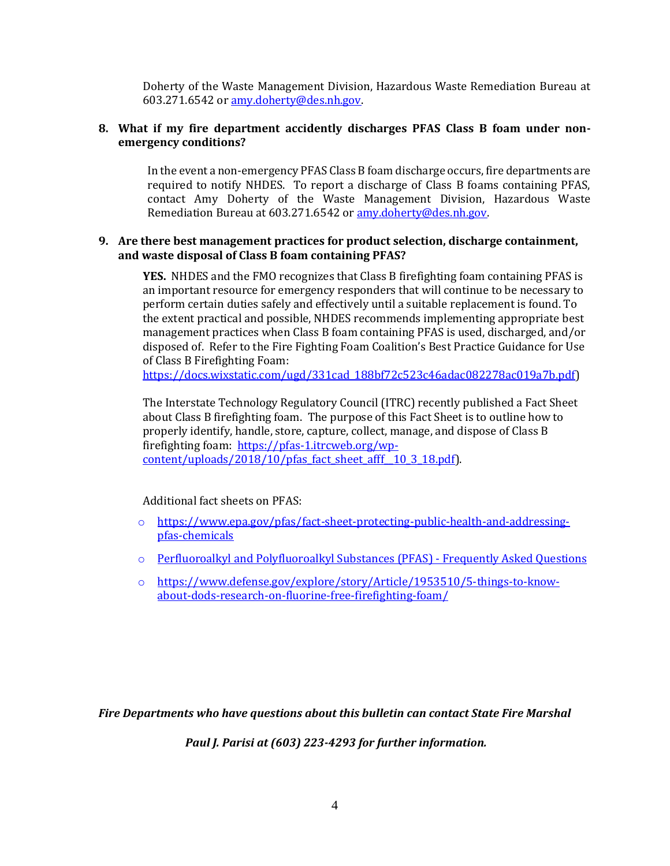Doherty of the Waste Management Division, Hazardous Waste Remediation Bureau at 603.271.6542 or [amy.doherty@des.nh.gov.](mailto:amy.doherty@des.nh.gov)

#### **8. What if my fire department accidently discharges PFAS Class B foam under nonemergency conditions?**

In the event a non-emergency PFAS Class B foam discharge occurs, fire departments are required to notify NHDES. To report a discharge of Class B foams containing PFAS, contact Amy Doherty of the Waste Management Division, Hazardous Waste Remediation Bureau at 603.271.6542 or [amy.doherty@des.nh.gov.](mailto:amy.doherty@des.nh.gov)

#### **9. Are there best management practices for product selection, discharge containment, and waste disposal of Class B foam containing PFAS?**

**YES.** NHDES and the FMO recognizes that Class B firefighting foam containing PFAS is an important resource for emergency responders that will continue to be necessary to perform certain duties safely and effectively until a suitable replacement is found. To the extent practical and possible, NHDES recommends implementing appropriate best management practices when Class B foam containing PFAS is used, discharged, and/or disposed of. Refer to the Fire Fighting Foam Coalition's Best Practice Guidance for Use of Class B Firefighting Foam:

[https://docs.wixstatic.com/ugd/331cad\\_188bf72c523c46adac082278ac019a7b.pdf\)](https://docs.wixstatic.com/ugd/331cad_188bf72c523c46adac082278ac019a7b.pdf)

The Interstate Technology Regulatory Council (ITRC) recently published a Fact Sheet about Class B firefighting foam. The purpose of this Fact Sheet is to outline how to properly identify, handle, store, capture, collect, manage, and dispose of Class B firefighting foam: [https://pfas-1.itrcweb.org/wp](https://pfas-1.itrcweb.org/wp-content/uploads/2018/10/pfas_fact_sheet_afff__10_3_18.pdf)content/uploads/2018/10/pfas fact sheet afff 10\_3\_18.pdf).

Additional fact sheets on PFAS:

- o [https://www.epa.gov/pfas/fact-sheet-protecting-public-health-and-addressing](https://www.epa.gov/pfas/fact-sheet-protecting-public-health-and-addressing-pfas-chemicals)[pfas-chemicals](https://www.epa.gov/pfas/fact-sheet-protecting-public-health-and-addressing-pfas-chemicals)
- o [Perfluoroalkyl and Polyfluoroalkyl](https://www.atsdr.cdc.gov/pfas/docs/pfas_fact_sheet.pdf) Substances (PFAS) Frequently Asked Questions
- o [https://www.defense.gov/explore/story/Article/1953510/5-things-to-know](https://www.defense.gov/explore/story/Article/1953510/5-things-to-know-about-dods-research-on-fluorine-free-firefighting-foam/)[about-dods-research-on-fluorine-free-firefighting-foam/](https://www.defense.gov/explore/story/Article/1953510/5-things-to-know-about-dods-research-on-fluorine-free-firefighting-foam/)

*Fire Departments who have questions about this bulletin can contact State Fire Marshal*

*Paul J. Parisi at (603) 223-4293 for further information.*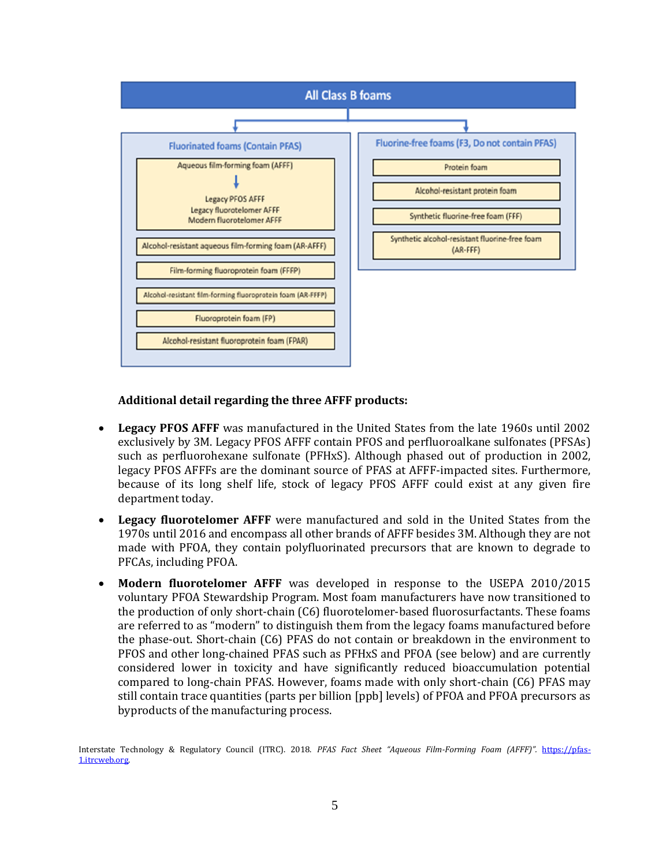

#### **Additional detail regarding the three AFFF products:**

- **Legacy PFOS AFFF** was manufactured in the United States from the late 1960s until 2002 exclusively by 3M. Legacy PFOS AFFF contain PFOS and perfluoroalkane sulfonates (PFSAs) such as perfluorohexane sulfonate (PFHxS). Although phased out of production in 2002, legacy PFOS AFFFs are the dominant source of PFAS at AFFF-impacted sites. Furthermore, because of its long shelf life, stock of legacy PFOS AFFF could exist at any given fire department today.
- **Legacy fluorotelomer AFFF** were manufactured and sold in the United States from the 1970s until 2016 and encompass all other brands of AFFF besides 3M. Although they are not made with PFOA, they contain polyfluorinated precursors that are known to degrade to PFCAs, including PFOA.
- **Modern fluorotelomer AFFF** was developed in response to the USEPA 2010/2015 voluntary PFOA Stewardship Program. Most foam manufacturers have now transitioned to the production of only short-chain (C6) fluorotelomer-based fluorosurfactants. These foams are referred to as "modern" to distinguish them from the legacy foams manufactured before the phase-out. Short-chain (C6) PFAS do not contain or breakdown in the environment to PFOS and other long-chained PFAS such as PFHxS and PFOA (see below) and are currently considered lower in toxicity and have significantly reduced bioaccumulation potential compared to long-chain PFAS. However, foams made with only short-chain (C6) PFAS may still contain trace quantities (parts per billion [ppb] levels) of PFOA and PFOA precursors as byproducts of the manufacturing process.

Interstate Technology & Regulatory Council (ITRC). 2018. *PFAS Fact Sheet "Aqueous Film-Forming Foam (AFFF)".* [https://pfas-](https://pfas-1.itrcweb.org/)[1.itrcweb.org.](https://pfas-1.itrcweb.org/)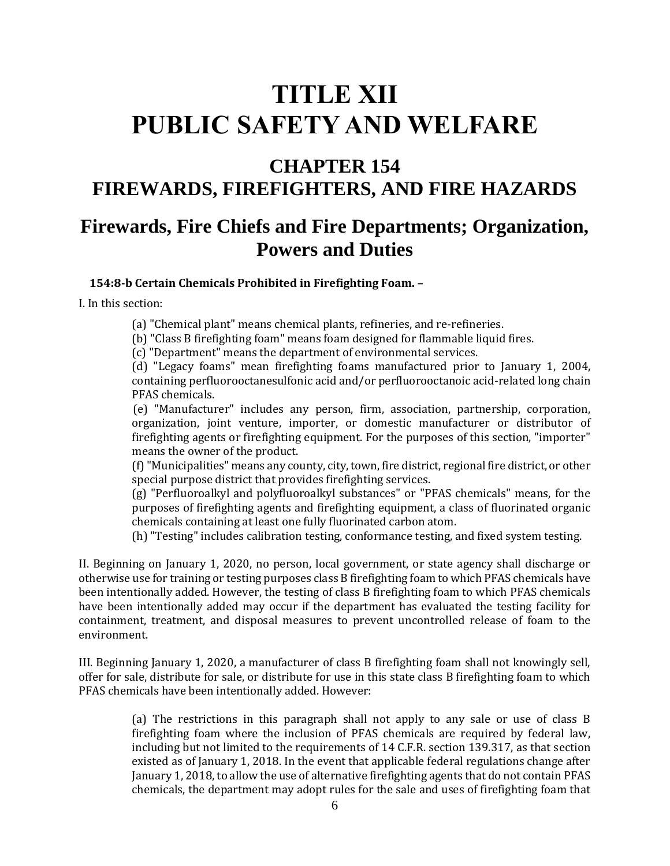## **TITLE XII PUBLIC SAFETY AND WELFARE**

# **CHAPTER 154**

# **FIREWARDS, FIREFIGHTERS, AND FIRE HAZARDS**

## **Firewards, Fire Chiefs and Fire Departments; Organization, Powers and Duties**

**154:8-b Certain Chemicals Prohibited in Firefighting Foam. –**

I. In this section:

(a) "Chemical plant" means chemical plants, refineries, and re-refineries.

(b) "Class B firefighting foam" means foam designed for flammable liquid fires.

(c) "Department" means the department of environmental services.

(d) "Legacy foams" mean firefighting foams manufactured prior to January 1, 2004, containing perfluorooctanesulfonic acid and/or perfluorooctanoic acid-related long chain PFAS chemicals.

(e) "Manufacturer" includes any person, firm, association, partnership, corporation, organization, joint venture, importer, or domestic manufacturer or distributor of firefighting agents or firefighting equipment. For the purposes of this section, "importer" means the owner of the product.

(f) "Municipalities" means any county, city, town, fire district, regional fire district, or other special purpose district that provides firefighting services.

(g) "Perfluoroalkyl and polyfluoroalkyl substances" or "PFAS chemicals" means, for the purposes of firefighting agents and firefighting equipment, a class of fluorinated organic chemicals containing at least one fully fluorinated carbon atom.

(h) "Testing" includes calibration testing, conformance testing, and fixed system testing.

II. Beginning on January 1, 2020, no person, local government, or state agency shall discharge or otherwise use for training or testing purposes class B firefighting foam to which PFAS chemicals have been intentionally added. However, the testing of class B firefighting foam to which PFAS chemicals have been intentionally added may occur if the department has evaluated the testing facility for containment, treatment, and disposal measures to prevent uncontrolled release of foam to the environment.

III. Beginning January 1, 2020, a manufacturer of class B firefighting foam shall not knowingly sell, offer for sale, distribute for sale, or distribute for use in this state class B firefighting foam to which PFAS chemicals have been intentionally added. However:

> (a) The restrictions in this paragraph shall not apply to any sale or use of class B firefighting foam where the inclusion of PFAS chemicals are required by federal law, including but not limited to the requirements of 14 C.F.R. section 139.317, as that section existed as of January 1, 2018. In the event that applicable federal regulations change after January 1, 2018, to allow the use of alternative firefighting agents that do not contain PFAS chemicals, the department may adopt rules for the sale and uses of firefighting foam that